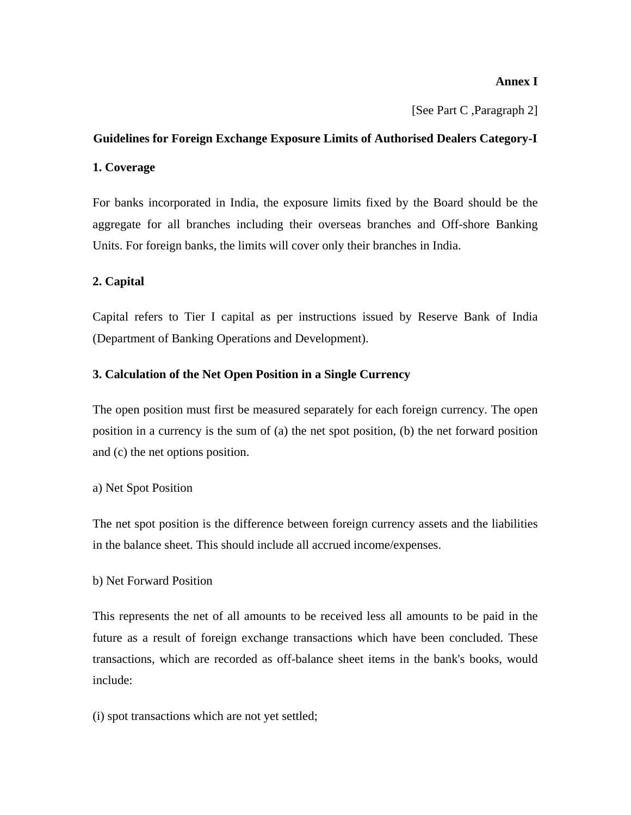### **Annex I**

[See Part C ,Paragraph 2]

# **Guidelines for Foreign Exchange Exposure Limits of Authorised Dealers Category-I 1. Coverage**

For banks incorporated in India, the exposure limits fixed by the Board should be the aggregate for all branches including their overseas branches and Off-shore Banking Units. For foreign banks, the limits will cover only their branches in India.

# **2. Capital**

Capital refers to Tier I capital as per instructions issued by Reserve Bank of India (Department of Banking Operations and Development).

# **3. Calculation of the Net Open Position in a Single Currency**

The open position must first be measured separately for each foreign currency. The open position in a currency is the sum of (a) the net spot position, (b) the net forward position and (c) the net options position.

# a) Net Spot Position

The net spot position is the difference between foreign currency assets and the liabilities in the balance sheet. This should include all accrued income/expenses.

# b) Net Forward Position

This represents the net of all amounts to be received less all amounts to be paid in the future as a result of foreign exchange transactions which have been concluded. These transactions, which are recorded as off-balance sheet items in the bank's books, would include:

(i) spot transactions which are not yet settled;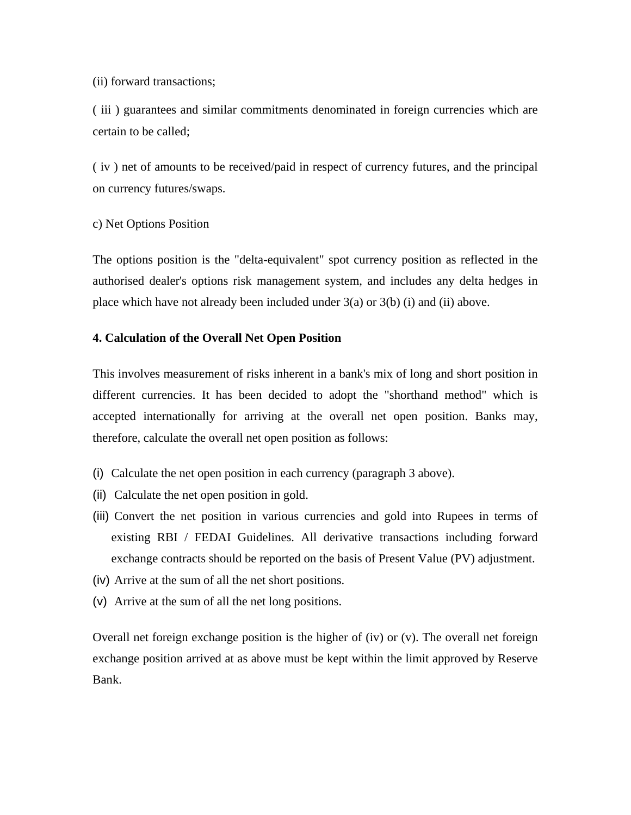#### (ii) forward transactions;

( iii ) guarantees and similar commitments denominated in foreign currencies which are certain to be called;

( iv ) net of amounts to be received/paid in respect of currency futures, and the principal on currency futures/swaps.

#### c) Net Options Position

The options position is the "delta-equivalent" spot currency position as reflected in the authorised dealer's options risk management system, and includes any delta hedges in place which have not already been included under 3(a) or 3(b) (i) and (ii) above.

#### **4. Calculation of the Overall Net Open Position**

This involves measurement of risks inherent in a bank's mix of long and short position in different currencies. It has been decided to adopt the "shorthand method" which is accepted internationally for arriving at the overall net open position. Banks may, therefore, calculate the overall net open position as follows:

- (i) Calculate the net open position in each currency (paragraph 3 above).
- (ii) Calculate the net open position in gold.
- (iii) Convert the net position in various currencies and gold into Rupees in terms of existing RBI / FEDAI Guidelines. All derivative transactions including forward exchange contracts should be reported on the basis of Present Value (PV) adjustment.
- (iv) Arrive at the sum of all the net short positions.
- (v) Arrive at the sum of all the net long positions.

Overall net foreign exchange position is the higher of (iv) or (v). The overall net foreign exchange position arrived at as above must be kept within the limit approved by Reserve Bank.